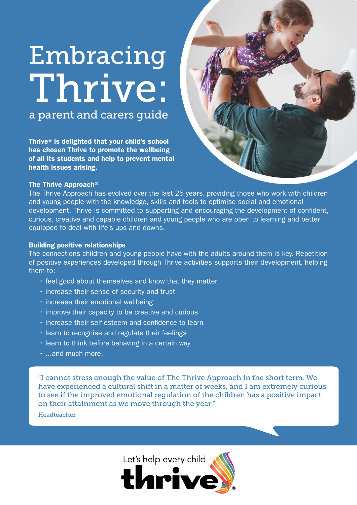# Embracing Thrive:

a parent and carers guide

Thrive® is delighted that your child's school has chosen Thrive to promote the wellbeing of all its students and help to prevent mental health issues arising.



### The Thrive Approach®

The Thrive Approach has evolved over the last 25 years, providing those who work with children and young people with the knowledge, skills and tools to optimise social and emotional development. Thrive is committed to supporting and encouraging the development of confident, curious, creative and capable children and young people who are open to learning and better equipped to deal with life's ups and downs.

### Building positive relationships

The connections children and young people have with the adults around them is key. Repetition of positive experiences developed through Thrive activities supports their development, helping them to:

- feel good about themselves and know that they matter
- increase their sense of security and trust
- increase their emotional wellbeing
- improve their capacity to be creative and curious
- increase their self-esteem and confidence to learn
- learn to recognise and regulate their feelings
- learn to think before behaving in a certain way
- ...and much more.

"I cannot stress enough the value of The Thrive Approach in the short term. We have experienced a cultural shift in a matter of weeks, and I am extremely curious to see if the improved emotional regulation of the children has a positive impact on their attainment as we move through the year."

Headteacher